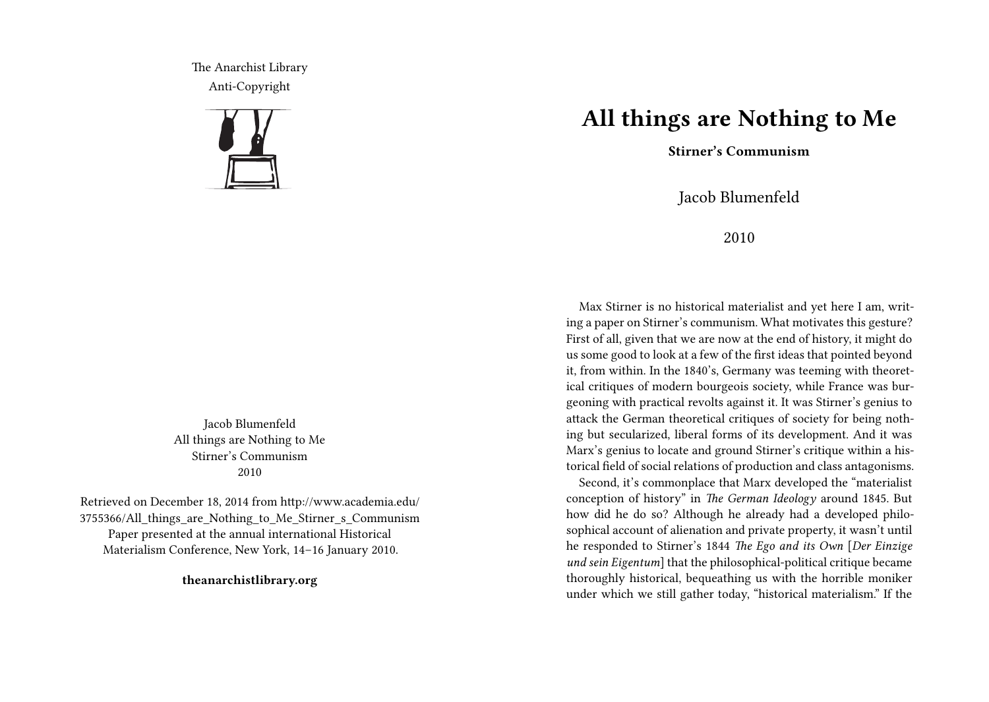The Anarchist Library Anti-Copyright



Jacob Blumenfeld All things are Nothing to Me Stirner's Communism 2010

Retrieved on December 18, 2014 from http://www.academia.edu/ 3755366/All things are Nothing to Me Stirner s Communism Paper presented at the annual international Historical Materialism Conference, New York, 14–16 January 2010.

**theanarchistlibrary.org**

## **All things are Nothing to Me**

**Stirner's Communism**

Jacob Blumenfeld

2010

Max Stirner is no historical materialist and yet here I am, writing a paper on Stirner's communism. What motivates this gesture? First of all, given that we are now at the end of history, it might do us some good to look at a few of the first ideas that pointed beyond it, from within. In the 1840's, Germany was teeming with theoretical critiques of modern bourgeois society, while France was burgeoning with practical revolts against it. It was Stirner's genius to attack the German theoretical critiques of society for being nothing but secularized, liberal forms of its development. And it was Marx's genius to locate and ground Stirner's critique within a historical field of social relations of production and class antagonisms.

Second, it's commonplace that Marx developed the "materialist conception of history" in *The German Ideology* around 1845. But how did he do so? Although he already had a developed philosophical account of alienation and private property, it wasn't until he responded to Stirner's 1844 *The Ego and its Own* [*Der Einzige und sein Eigentum*] that the philosophical-political critique became thoroughly historical, bequeathing us with the horrible moniker under which we still gather today, "historical materialism." If the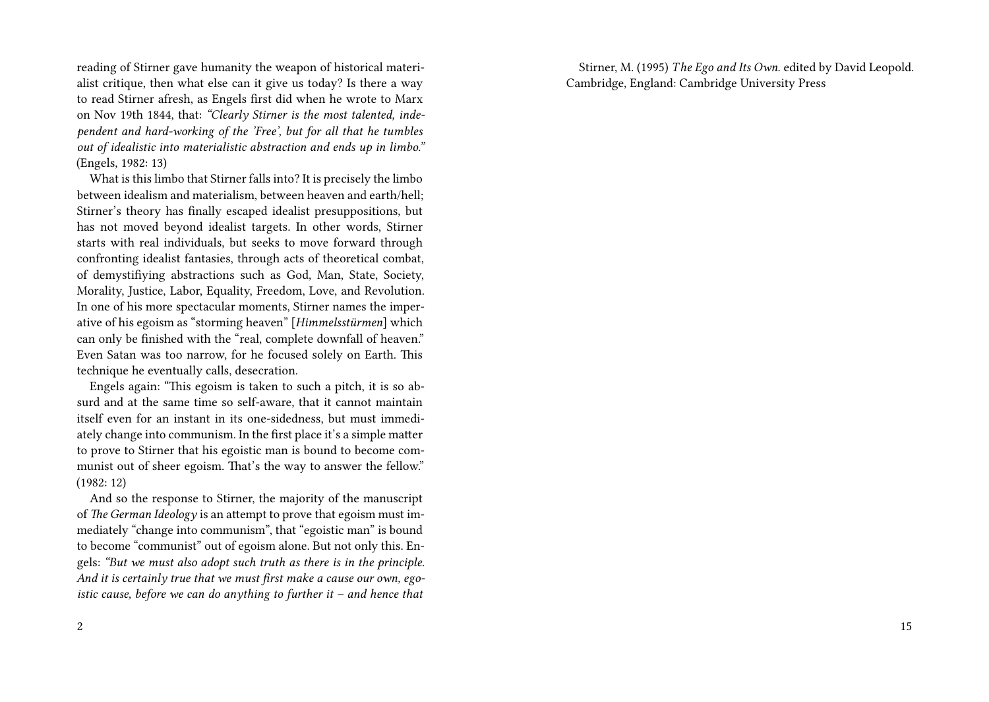reading of Stirner gave humanity the weapon of historical materialist critique, then what else can it give us today? Is there a way to read Stirner afresh, as Engels first did when he wrote to Marx on Nov 19th 1844, that: *"Clearly Stirner is the most talented, independent and hard-working of the 'Free', but for all that he tumbles out of idealistic into materialistic abstraction and ends up in limbo."* (Engels, 1982: 13)

What is this limbo that Stirner falls into? It is precisely the limbo between idealism and materialism, between heaven and earth/hell; Stirner's theory has finally escaped idealist presuppositions, but has not moved beyond idealist targets. In other words, Stirner starts with real individuals, but seeks to move forward through confronting idealist fantasies, through acts of theoretical combat, of demystifiying abstractions such as God, Man, State, Society, Morality, Justice, Labor, Equality, Freedom, Love, and Revolution. In one of his more spectacular moments, Stirner names the imperative of his egoism as "storming heaven" [*Himmelsstürmen*] which can only be finished with the "real, complete downfall of heaven." Even Satan was too narrow, for he focused solely on Earth. This technique he eventually calls, desecration.

Engels again: "This egoism is taken to such a pitch, it is so absurd and at the same time so self-aware, that it cannot maintain itself even for an instant in its one-sidedness, but must immediately change into communism. In the first place it's a simple matter to prove to Stirner that his egoistic man is bound to become communist out of sheer egoism. That's the way to answer the fellow." (1982: 12)

And so the response to Stirner, the majority of the manuscript of *The German Ideology* is an attempt to prove that egoism must immediately "change into communism", that "egoistic man" is bound to become "communist" out of egoism alone. But not only this. Engels: *"But we must also adopt such truth as there is in the principle. And it is certainly true that we must first make a cause our own, egoistic cause, before we can do anything to further it – and hence that*

Stirner, M. (1995) *T he Ego and Its Own*. edited by David Leopold. Cambridge, England: Cambridge University Press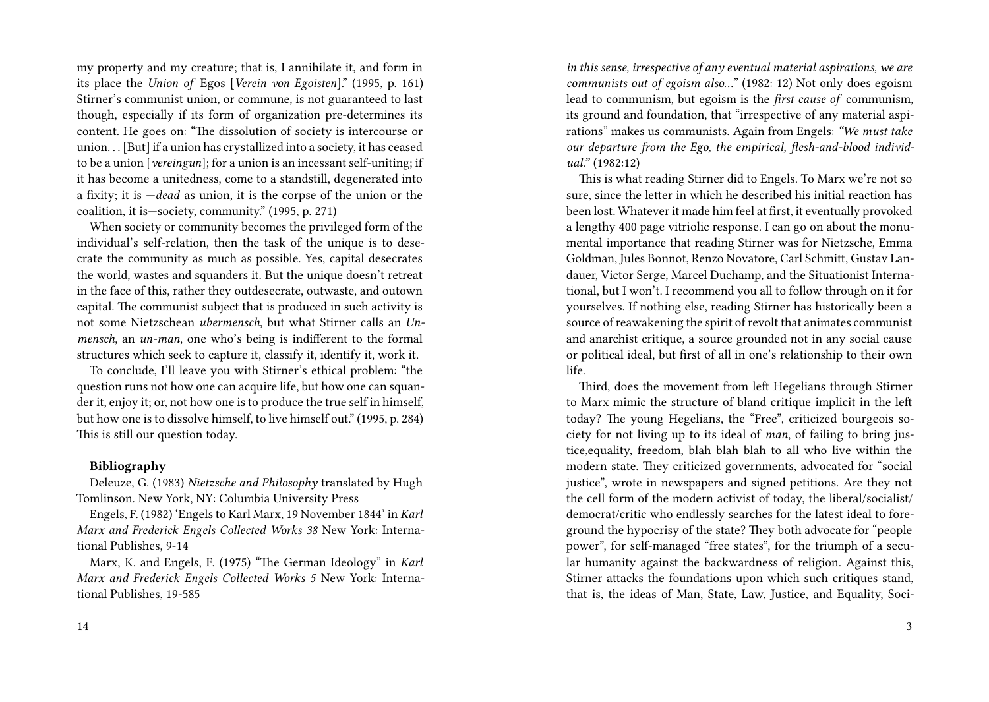my property and my creature; that is, I annihilate it, and form in its place the *Union of* Egos [*Verein von Egoisten*]." (1995, p. 161) Stirner's communist union, or commune, is not guaranteed to last though, especially if its form of organization pre-determines its content. He goes on: "The dissolution of society is intercourse or union. . . [But] if a union has crystallized into a society, it has ceased to be a union [*vereingun*]; for a union is an incessant self-uniting; if it has become a unitedness, come to a standstill, degenerated into a fixity; it is —*dead* as union, it is the corpse of the union or the coalition, it is—society, community." (1995, p. 271)

When society or community becomes the privileged form of the individual's self-relation, then the task of the unique is to desecrate the community as much as possible. Yes, capital desecrates the world, wastes and squanders it. But the unique doesn't retreat in the face of this, rather they outdesecrate, outwaste, and outown capital. The communist subject that is produced in such activity is not some Nietzschean *ubermensch*, but what Stirner calls an *Unmensch*, an *un-man*, one who's being is indifferent to the formal structures which seek to capture it, classify it, identify it, work it.

To conclude, I'll leave you with Stirner's ethical problem: "the question runs not how one can acquire life, but how one can squander it, enjoy it; or, not how one is to produce the true self in himself, but how one is to dissolve himself, to live himself out." (1995, p. 284) This is still our question today.

## **Bibliography**

Deleuze, G. (1983) *Nietzsche and Philosophy* translated by Hugh Tomlinson. New York, NY: Columbia University Press

Engels, F. (1982) 'Engels to Karl Marx, 19 November 1844' in *Karl Marx and Frederick Engels Collected Works 38* New York: International Publishes, 9-14

Marx, K. and Engels, F. (1975) "The German Ideology" in *Karl Marx and Frederick Engels Collected Works 5* New York: International Publishes, 19-585

*in this sense, irrespective of any eventual material aspirations, we are communists out of egoism also…"* (1982: 12) Not only does egoism lead to communism, but egoism is the *first cause of* communism, its ground and foundation, that "irrespective of any material aspirations" makes us communists. Again from Engels: *"We must take our departure from the Ego, the empirical, flesh-and-blood individual."* (1982:12)

This is what reading Stirner did to Engels. To Marx we're not so sure, since the letter in which he described his initial reaction has been lost. Whatever it made him feel at first, it eventually provoked a lengthy 400 page vitriolic response. I can go on about the monumental importance that reading Stirner was for Nietzsche, Emma Goldman, Jules Bonnot, Renzo Novatore, Carl Schmitt, Gustav Landauer, Victor Serge, Marcel Duchamp, and the Situationist International, but I won't. I recommend you all to follow through on it for yourselves. If nothing else, reading Stirner has historically been a source of reawakening the spirit of revolt that animates communist and anarchist critique, a source grounded not in any social cause or political ideal, but first of all in one's relationship to their own life.

Third, does the movement from left Hegelians through Stirner to Marx mimic the structure of bland critique implicit in the left today? The young Hegelians, the "Free", criticized bourgeois society for not living up to its ideal of *man*, of failing to bring justice,equality, freedom, blah blah blah to all who live within the modern state. They criticized governments, advocated for "social justice", wrote in newspapers and signed petitions. Are they not the cell form of the modern activist of today, the liberal/socialist/ democrat/critic who endlessly searches for the latest ideal to foreground the hypocrisy of the state? They both advocate for "people power", for self-managed "free states", for the triumph of a secular humanity against the backwardness of religion. Against this, Stirner attacks the foundations upon which such critiques stand, that is, the ideas of Man, State, Law, Justice, and Equality, Soci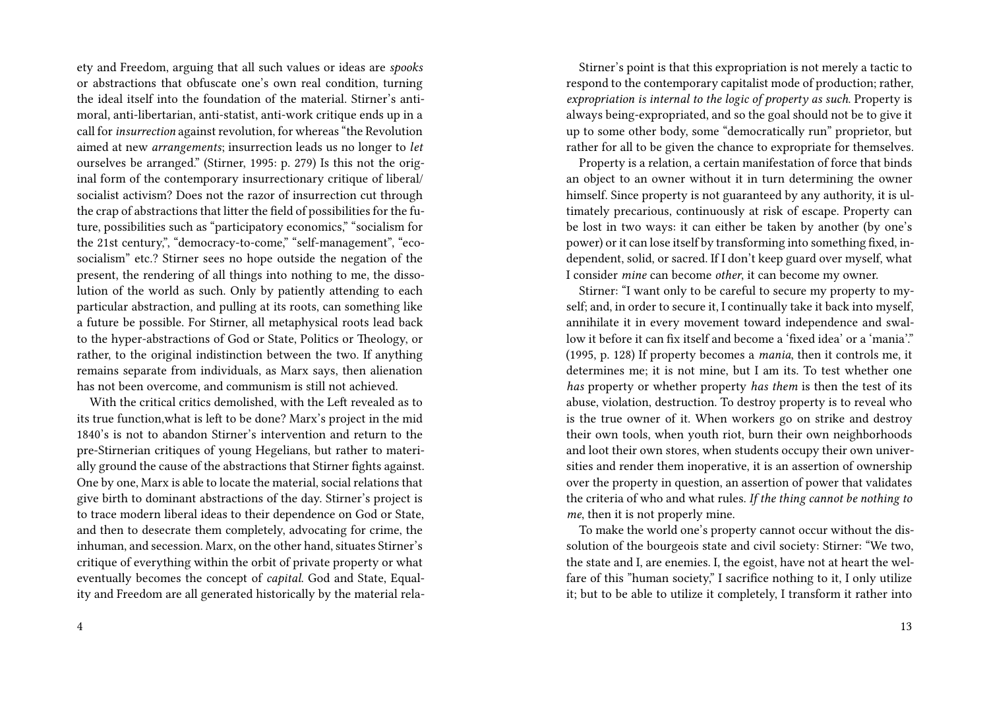ety and Freedom, arguing that all such values or ideas are *spooks* or abstractions that obfuscate one's own real condition, turning the ideal itself into the foundation of the material. Stirner's antimoral, anti-libertarian, anti-statist, anti-work critique ends up in a call for *insurrection* against revolution, for whereas "the Revolution aimed at new *arrangements*; insurrection leads us no longer to *let* ourselves be arranged." (Stirner, 1995: p. 279) Is this not the original form of the contemporary insurrectionary critique of liberal/ socialist activism? Does not the razor of insurrection cut through the crap of abstractions that litter the field of possibilities for the future, possibilities such as "participatory economics," "socialism for the 21st century,", "democracy-to-come," "self-management", "ecosocialism" etc.? Stirner sees no hope outside the negation of the present, the rendering of all things into nothing to me, the dissolution of the world as such. Only by patiently attending to each particular abstraction, and pulling at its roots, can something like a future be possible. For Stirner, all metaphysical roots lead back to the hyper-abstractions of God or State, Politics or Theology, or rather, to the original indistinction between the two. If anything remains separate from individuals, as Marx says, then alienation has not been overcome, and communism is still not achieved.

With the critical critics demolished, with the Left revealed as to its true function,what is left to be done? Marx's project in the mid 1840's is not to abandon Stirner's intervention and return to the pre-Stirnerian critiques of young Hegelians, but rather to materially ground the cause of the abstractions that Stirner fights against. One by one, Marx is able to locate the material, social relations that give birth to dominant abstractions of the day. Stirner's project is to trace modern liberal ideas to their dependence on God or State, and then to desecrate them completely, advocating for crime, the inhuman, and secession. Marx, on the other hand, situates Stirner's critique of everything within the orbit of private property or what eventually becomes the concept of *capital*. God and State, Equality and Freedom are all generated historically by the material rela-

Stirner's point is that this expropriation is not merely a tactic to respond to the contemporary capitalist mode of production; rather, *expropriation is internal to the logic of property as such*. Property is always being-expropriated, and so the goal should not be to give it up to some other body, some "democratically run" proprietor, but rather for all to be given the chance to expropriate for themselves.

Property is a relation, a certain manifestation of force that binds an object to an owner without it in turn determining the owner himself. Since property is not guaranteed by any authority, it is ultimately precarious, continuously at risk of escape. Property can be lost in two ways: it can either be taken by another (by one's power) or it can lose itself by transforming into something fixed, independent, solid, or sacred. If I don't keep guard over myself, what I consider *mine* can become *other*, it can become my owner.

Stirner: "I want only to be careful to secure my property to myself; and, in order to secure it, I continually take it back into myself, annihilate it in every movement toward independence and swallow it before it can fix itself and become a 'fixed idea' or a 'mania'." (1995, p. 128) If property becomes a *mania*, then it controls me, it determines me; it is not mine, but I am its. To test whether one *has* property or whether property *has them* is then the test of its abuse, violation, destruction. To destroy property is to reveal who is the true owner of it. When workers go on strike and destroy their own tools, when youth riot, burn their own neighborhoods and loot their own stores, when students occupy their own universities and render them inoperative, it is an assertion of ownership over the property in question, an assertion of power that validates the criteria of who and what rules. *If the thing cannot be nothing to me*, then it is not properly mine.

To make the world one's property cannot occur without the dissolution of the bourgeois state and civil society: Stirner: "We two, the state and I, are enemies. I, the egoist, have not at heart the welfare of this "human society," I sacrifice nothing to it, I only utilize it; but to be able to utilize it completely, I transform it rather into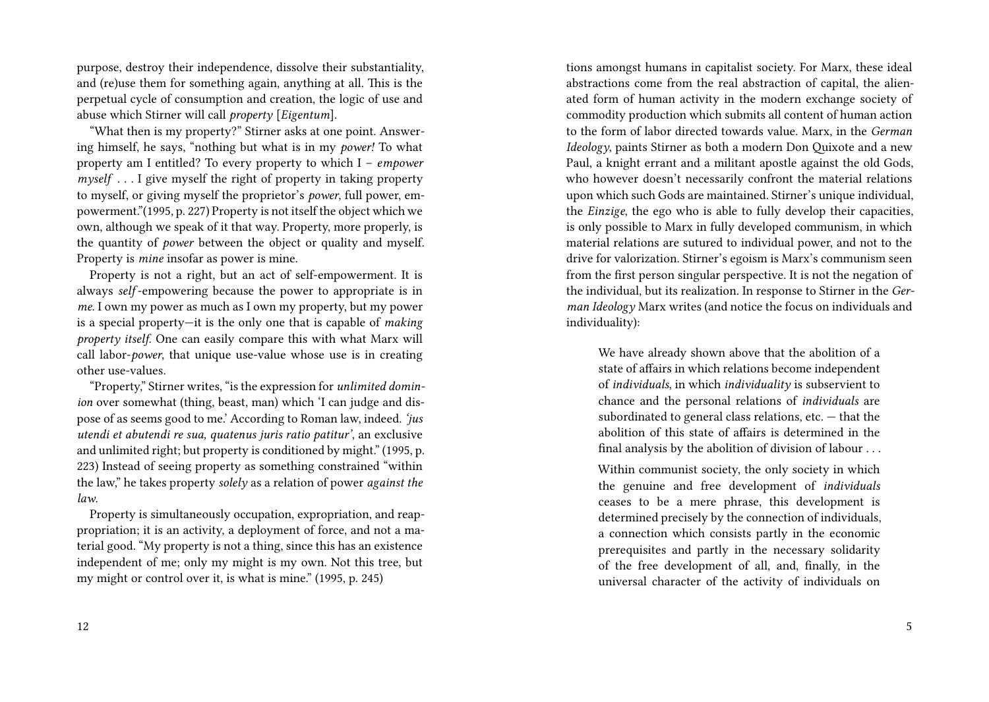purpose, destroy their independence, dissolve their substantiality, and (re)use them for something again, anything at all. This is the perpetual cycle of consumption and creation, the logic of use and abuse which Stirner will call *property* [*Eigentum*].

"What then is my property?" Stirner asks at one point. Answering himself, he says, "nothing but what is in my *power!* To what property am I entitled? To every property to which I – *empower myself* . . . I give myself the right of property in taking property to myself, or giving myself the proprietor's *power*, full power, empowerment."(1995, p. 227) Property is not itself the object which we own, although we speak of it that way. Property, more properly, is the quantity of *power* between the object or quality and myself. Property is *mine* insofar as power is mine.

Property is not a right, but an act of self-empowerment. It is always *self* -empowering because the power to appropriate is in *me*. I own my power as much as I own my property, but my power is a special property—it is the only one that is capable of *making property itself*. One can easily compare this with what Marx will call labor-*power*, that unique use-value whose use is in creating other use-values.

"Property," Stirner writes, "is the expression for *unlimited dominion* over somewhat (thing, beast, man) which 'I can judge and dispose of as seems good to me.' According to Roman law, indeed. *'jus utendi et abutendi re sua, quatenus juris ratio patitur'*, an exclusive and unlimited right; but property is conditioned by might." (1995, p. 223) Instead of seeing property as something constrained "within the law," he takes property *solely* as a relation of power *against the law*.

Property is simultaneously occupation, expropriation, and reappropriation; it is an activity, a deployment of force, and not a material good. "My property is not a thing, since this has an existence independent of me; only my might is my own. Not this tree, but my might or control over it, is what is mine." (1995, p. 245)

tions amongst humans in capitalist society. For Marx, these ideal abstractions come from the real abstraction of capital, the alienated form of human activity in the modern exchange society of commodity production which submits all content of human action to the form of labor directed towards value. Marx, in the *German Ideology*, paints Stirner as both a modern Don Quixote and a new Paul, a knight errant and a militant apostle against the old Gods, who however doesn't necessarily confront the material relations upon which such Gods are maintained. Stirner's unique individual, the *Einzige*, the ego who is able to fully develop their capacities, is only possible to Marx in fully developed communism, in which material relations are sutured to individual power, and not to the drive for valorization. Stirner's egoism is Marx's communism seen from the first person singular perspective. It is not the negation of the individual, but its realization. In response to Stirner in the *German Ideology* Marx writes (and notice the focus on individuals and individuality):

We have already shown above that the abolition of a state of affairs in which relations become independent of *individuals*, in which *individuality* is subservient to chance and the personal relations of *individuals* are subordinated to general class relations, etc. — that the abolition of this state of affairs is determined in the final analysis by the abolition of division of labour . . .

Within communist society, the only society in which the genuine and free development of *individuals* ceases to be a mere phrase, this development is determined precisely by the connection of individuals, a connection which consists partly in the economic prerequisites and partly in the necessary solidarity of the free development of all, and, finally, in the universal character of the activity of individuals on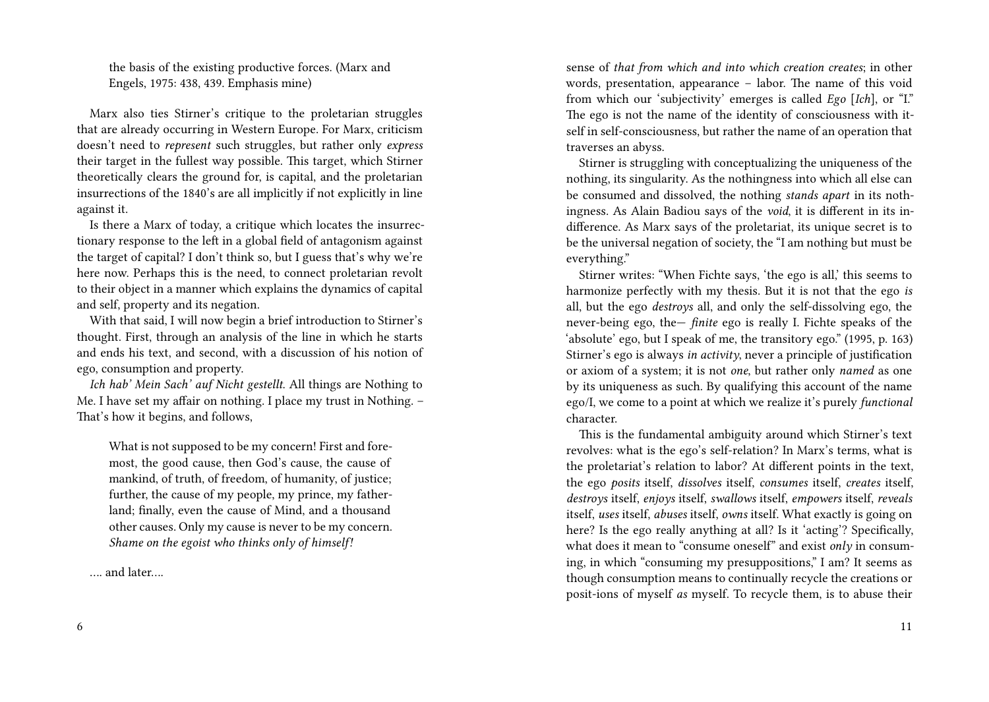the basis of the existing productive forces. (Marx and Engels, 1975: 438, 439. Emphasis mine)

Marx also ties Stirner's critique to the proletarian struggles that are already occurring in Western Europe. For Marx, criticism doesn't need to *represent* such struggles, but rather only *express* their target in the fullest way possible. This target, which Stirner theoretically clears the ground for, is capital, and the proletarian insurrections of the 1840's are all implicitly if not explicitly in line against it.

Is there a Marx of today, a critique which locates the insurrectionary response to the left in a global field of antagonism against the target of capital? I don't think so, but I guess that's why we're here now. Perhaps this is the need, to connect proletarian revolt to their object in a manner which explains the dynamics of capital and self, property and its negation.

With that said, I will now begin a brief introduction to Stirner's thought. First, through an analysis of the line in which he starts and ends his text, and second, with a discussion of his notion of ego, consumption and property.

*Ich hab' Mein Sach' auf Nicht gestellt*. All things are Nothing to Me. I have set my affair on nothing. I place my trust in Nothing. – That's how it begins, and follows,

What is not supposed to be my concern! First and foremost, the good cause, then God's cause, the cause of mankind, of truth, of freedom, of humanity, of justice; further, the cause of my people, my prince, my fatherland; finally, even the cause of Mind, and a thousand other causes. Only my cause is never to be my concern. *Shame on the egoist who thinks only of himself!*

…. and later….

sense of *that from which and into which creation creates*; in other words, presentation, appearance – labor. The name of this void from which our 'subjectivity' emerges is called *Ego* [*Ich*], or "I." The ego is not the name of the identity of consciousness with itself in self-consciousness, but rather the name of an operation that traverses an abyss.

Stirner is struggling with conceptualizing the uniqueness of the nothing, its singularity. As the nothingness into which all else can be consumed and dissolved, the nothing *stands apart* in its nothingness. As Alain Badiou says of the *void*, it is different in its indifference. As Marx says of the proletariat, its unique secret is to be the universal negation of society, the "I am nothing but must be everything."

Stirner writes: "When Fichte says, 'the ego is all,' this seems to harmonize perfectly with my thesis. But it is not that the ego *is* all, but the ego *destroys* all, and only the self-dissolving ego, the never-being ego, the— *finite* ego is really I. Fichte speaks of the 'absolute' ego, but I speak of me, the transitory ego." (1995, p. 163) Stirner's ego is always *in activity*, never a principle of justification or axiom of a system; it is not *one*, but rather only *named* as one by its uniqueness as such. By qualifying this account of the name ego/I, we come to a point at which we realize it's purely *functional* character.

This is the fundamental ambiguity around which Stirner's text revolves: what is the ego's self-relation? In Marx's terms, what is the proletariat's relation to labor? At different points in the text, the ego *posits* itself, *dissolves* itself, *consumes* itself, *creates* itself, *destroys* itself, *enjoys* itself, *swallows* itself, *empowers* itself, *reveals* itself, *uses* itself, *abuses* itself, *owns* itself. What exactly is going on here? Is the ego really anything at all? Is it 'acting'? Specifically, what does it mean to "consume oneself" and exist *only* in consuming, in which "consuming my presuppositions," I am? It seems as though consumption means to continually recycle the creations or posit-ions of myself *as* myself. To recycle them, is to abuse their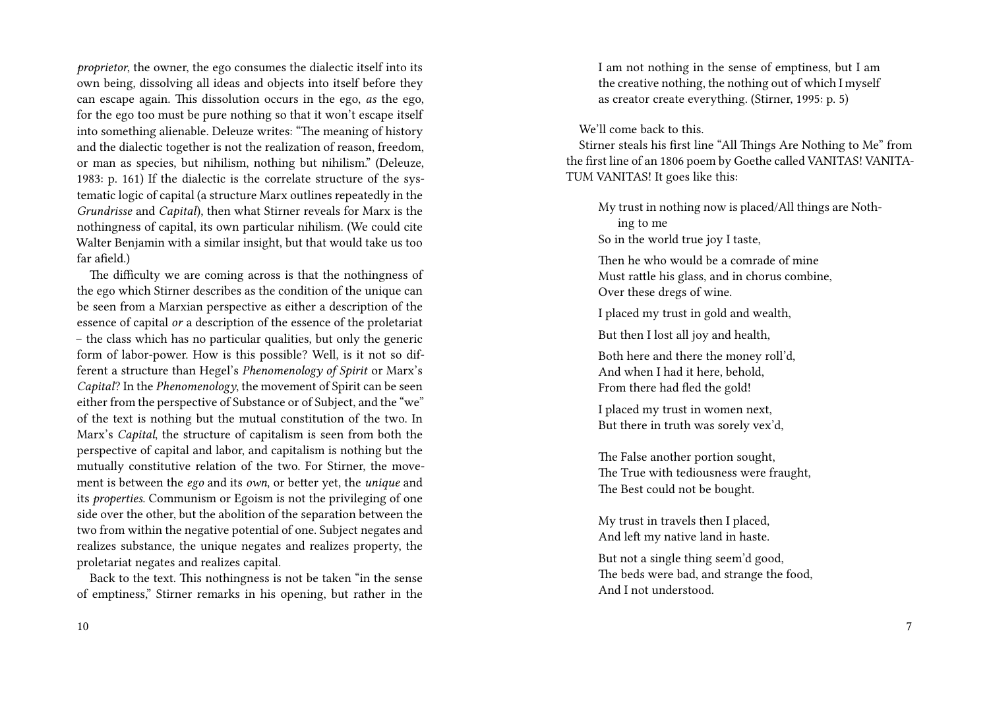*proprietor*, the owner, the ego consumes the dialectic itself into its own being, dissolving all ideas and objects into itself before they can escape again. This dissolution occurs in the ego, *as* the ego, for the ego too must be pure nothing so that it won't escape itself into something alienable. Deleuze writes: "The meaning of history and the dialectic together is not the realization of reason, freedom, or man as species, but nihilism, nothing but nihilism." (Deleuze, 1983: p. 161) If the dialectic is the correlate structure of the systematic logic of capital (a structure Marx outlines repeatedly in the *Grundrisse* and *Capital*), then what Stirner reveals for Marx is the nothingness of capital, its own particular nihilism. (We could cite Walter Benjamin with a similar insight, but that would take us too far afield.)

The difficulty we are coming across is that the nothingness of the ego which Stirner describes as the condition of the unique can be seen from a Marxian perspective as either a description of the essence of capital *or* a description of the essence of the proletariat – the class which has no particular qualities, but only the generic form of labor-power. How is this possible? Well, is it not so different a structure than Hegel's *Phenomenology of Spirit* or Marx's *Capital*? In the *Phenomenology*, the movement of Spirit can be seen either from the perspective of Substance or of Subject, and the "we" of the text is nothing but the mutual constitution of the two. In Marx's *Capital*, the structure of capitalism is seen from both the perspective of capital and labor, and capitalism is nothing but the mutually constitutive relation of the two. For Stirner, the movement is between the *ego* and its *own*, or better yet, the *unique* and its *properties*. Communism or Egoism is not the privileging of one side over the other, but the abolition of the separation between the two from within the negative potential of one. Subject negates and realizes substance, the unique negates and realizes property, the proletariat negates and realizes capital.

Back to the text. This nothingness is not be taken "in the sense of emptiness," Stirner remarks in his opening, but rather in the I am not nothing in the sense of emptiness, but I am the creative nothing, the nothing out of which I myself as creator create everything. (Stirner, 1995: p. 5)

We'll come back to this.

Stirner steals his first line "All Things Are Nothing to Me" from the first line of an 1806 poem by Goethe called VANITAS! VANITA-TUM VANITAS! It goes like this:

My trust in nothing now is placed/All things are Nothing to me So in the world true joy I taste,

Then he who would be a comrade of mine Must rattle his glass, and in chorus combine, Over these dregs of wine.

I placed my trust in gold and wealth,

But then I lost all joy and health,

Both here and there the money roll'd, And when I had it here, behold, From there had fled the gold!

I placed my trust in women next, But there in truth was sorely vex'd,

The False another portion sought, The True with tediousness were fraught, The Best could not be bought.

My trust in travels then I placed, And left my native land in haste.

But not a single thing seem'd good, The beds were bad, and strange the food, And I not understood.